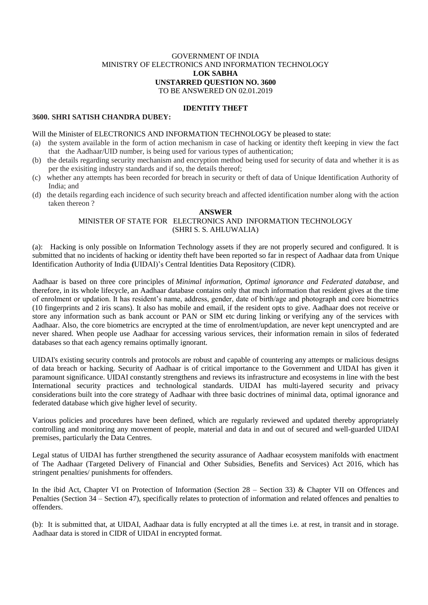### GOVERNMENT OF INDIA MINISTRY OF ELECTRONICS AND INFORMATION TECHNOLOGY **LOK SABHA UNSTARRED QUESTION NO. 3600** TO BE ANSWERED ON 02.01.2019

# **IDENTITY THEFT**

### **3600. SHRI SATISH CHANDRA DUBEY:**

#### Will the Minister of ELECTRONICS AND INFORMATION TECHNOLOGY be pleased to state:

- (a) the system available in the form of action mechanism in case of hacking or identity theft keeping in view the fact that the Aadhaar/UID number, is being used for various types of authentication;
- (b) the details regarding security mechanism and encryption method being used for security of data and whether it is as per the exisiting industry standards and if so, the details thereof;
- (c) whether any attempts has been recorded for breach in security or theft of data of Unique Identification Authority of India; and
- (d) the details regarding each incidence of such security breach and affected identification number along with the action taken thereon ?

# **ANSWER** MINISTER OF STATE FOR ELECTRONICS AND INFORMATION TECHNOLOGY (SHRI S. S. AHLUWALIA)

(a):Hacking is only possible on Information Technology assets if they are not properly secured and configured. It is submitted that no incidents of hacking or identity theft have been reported so far in respect of Aadhaar data from Unique Identification Authority of India **(**UIDAI)'s Central Identities Data Repository (CIDR).

Aadhaar is based on three core principles of *Minimal information, Optimal ignorance and Federated database*, and therefore, in its whole lifecycle, an Aadhaar database contains only that much information that resident gives at the time of enrolment or updation. It has resident's name, address, gender, date of birth/age and photograph and core biometrics (10 fingerprints and 2 iris scans). It also has mobile and email, if the resident opts to give. Aadhaar does not receive or store any information such as bank account or PAN or SIM etc during linking or verifying any of the services with Aadhaar. Also, the core biometrics are encrypted at the time of enrolment/updation, are never kept unencrypted and are never shared. When people use Aadhaar for accessing various services, their information remain in silos of federated databases so that each agency remains optimally ignorant.

UIDAI's existing security controls and protocols are robust and capable of countering any attempts or malicious designs of data breach or hacking. Security of Aadhaar is of critical importance to the Government and UIDAI has given it paramount significance. UIDAI constantly strengthens and reviews its infrastructure and ecosystems in line with the best International security practices and technological standards. UIDAI has multi-layered security and privacy considerations built into the core strategy of Aadhaar with three basic doctrines of minimal data, optimal ignorance and federated database which give higher level of security.

Various policies and procedures have been defined, which are regularly reviewed and updated thereby appropriately controlling and monitoring any movement of people, material and data in and out of secured and well-guarded UIDAI premises, particularly the Data Centres.

Legal status of UIDAI has further strengthened the security assurance of Aadhaar ecosystem manifolds with enactment of The Aadhaar (Targeted Delivery of Financial and Other Subsidies, Benefits and Services) Act 2016, which has stringent penalties/ punishments for offenders.

In the ibid Act, Chapter VI on Protection of Information (Section 28 – Section 33) & Chapter VII on Offences and Penalties (Section 34 – Section 47), specifically relates to protection of information and related offences and penalties to offenders.

(b): It is submitted that, at UIDAI, Aadhaar data is fully encrypted at all the times i.e. at rest, in transit and in storage. Aadhaar data is stored in CIDR of UIDAI in encrypted format.